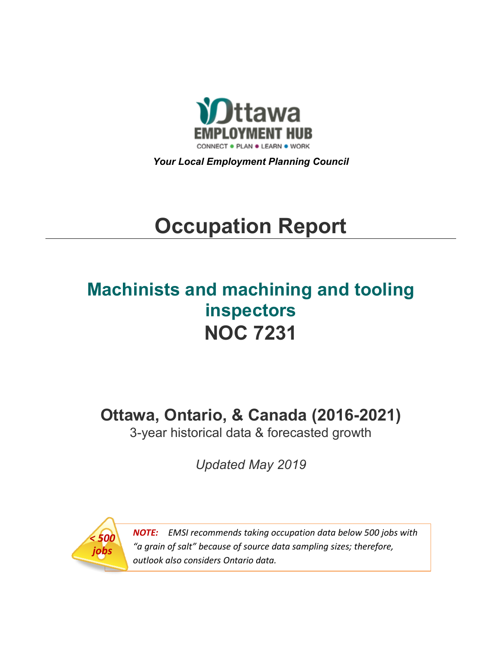

*Your Local Employment Planning Council*

# **Occupation Report**

# **Machinists and machining and tooling inspectors NOC 7231**

**Ottawa, Ontario, & Canada (2016-2021)**

3-year historical data & forecasted growth

*Updated May 2019*



*NOTE: EMSI recommends taking occupation data below 500 jobs with "a grain of salt" because of source data sampling sizes; therefore, outlook also considers Ontario data.*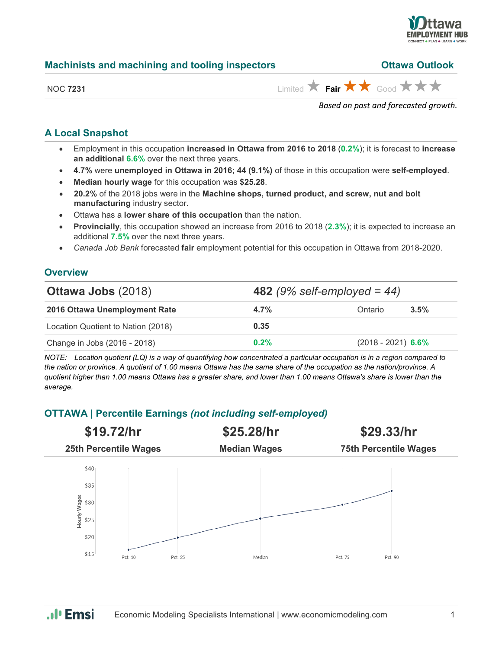

| Machinists and machining and tooling inspectors |                               | <b>Ottawa Outlook</b> |  |
|-------------------------------------------------|-------------------------------|-----------------------|--|
| <b>NOC 7231</b>                                 | Limited ★ Fair ★ ★ Good ★ ★ ★ |                       |  |

*Based on past and forecasted growth.*

#### **A Local Snapshot**

- Employment in this occupation **increased in Ottawa from 2016 to 2018** (**0.2%**); it is forecast to **increase an additional 6.6%** over the next three years.
- **4.7%** were **unemployed in Ottawa in 2016; 44 (9.1%)** of those in this occupation were **self-employed**.
- **Median hourly wage** for this occupation was **\$25.28**.
- **20.2%** of the 2018 jobs were in the **Machine shops, turned product, and screw, nut and bolt manufacturing** industry sector.
- Ottawa has a **lower share of this occupation** than the nation.
- **Provincially**, this occupation showed an increase from 2016 to 2018 (**2.3%**); it is expected to increase an additional **7.5%** over the next three years.
- *Canada Job Bank* forecasted **fair** employment potential for this occupation in Ottawa from 2018-2020.

#### **Overview**

| <b>Ottawa Jobs (2018)</b>          |         | <b>482</b> (9% self-employed = 44) |
|------------------------------------|---------|------------------------------------|
| 2016 Ottawa Unemployment Rate      | $4.7\%$ | Ontario<br>3.5%                    |
| Location Quotient to Nation (2018) | 0.35    |                                    |
| Change in Jobs (2016 - 2018)       | $0.2\%$ | $(2018 - 2021)$ 6.6%               |

*NOTE: Location quotient (LQ) is a way of quantifying how concentrated a particular occupation is in a region compared to the nation or province. A quotient of 1.00 means Ottawa has the same share of the occupation as the nation/province. A quotient higher than 1.00 means Ottawa has a greater share, and lower than 1.00 means Ottawa's share is lower than the average.*

### **OTTAWA | Percentile Earnings** *(not including self-employed)*



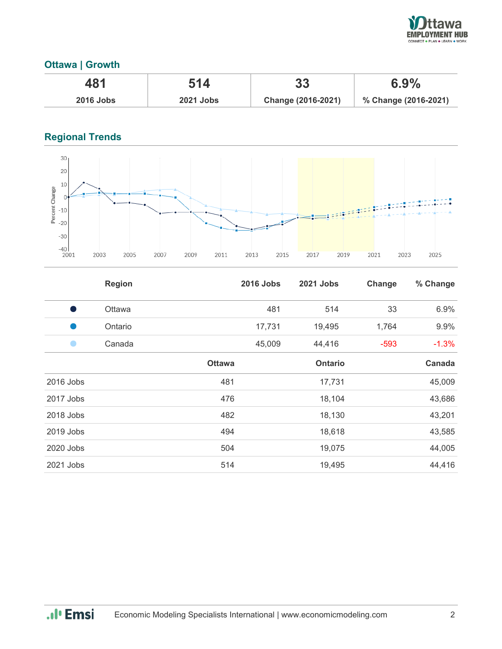

## **Ottawa | Growth**

| 481              | 514              | 33                 | 6.9%                 |
|------------------|------------------|--------------------|----------------------|
| <b>2016 Jobs</b> | <b>2021 Jobs</b> | Change (2016-2021) | % Change (2016-2021) |

# **Regional Trends**



|                | <b>Region</b> |               | <b>2016 Jobs</b> | 2021 Jobs      | Change | % Change |
|----------------|---------------|---------------|------------------|----------------|--------|----------|
| o a            | Ottawa        |               | 481              | 514            | 33     | 6.9%     |
|                | Ontario       |               | 17,731           | 19,495         | 1,764  | 9.9%     |
| $\blacksquare$ | Canada        |               | 45,009           | 44,416         | $-593$ | $-1.3%$  |
|                |               | <b>Ottawa</b> |                  | <b>Ontario</b> |        | Canada   |
| 2016 Jobs      |               | 481           |                  | 17,731         |        | 45,009   |
| 2017 Jobs      |               | 476           |                  | 18,104         |        | 43,686   |
| 2018 Jobs      |               | 482           |                  | 18,130         |        | 43,201   |
| 2019 Jobs      |               | 494           |                  | 18,618         |        | 43,585   |
| 2020 Jobs      |               | 504           |                  | 19,075         |        | 44,005   |
| 2021 Jobs      |               | 514           |                  | 19,495         |        | 44,416   |

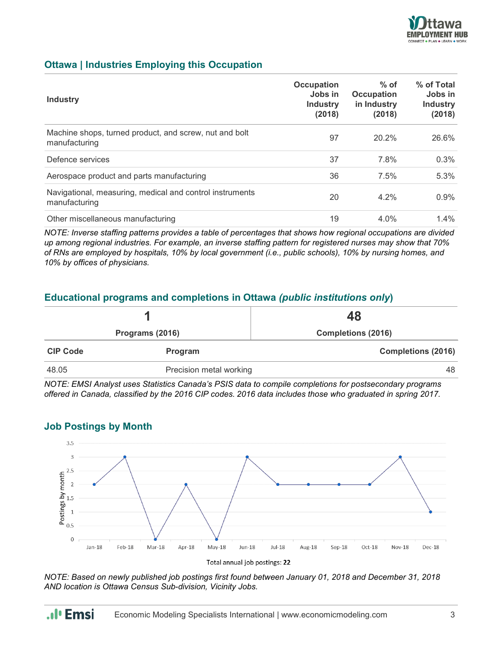

#### **Ottawa | Industries Employing this Occupation**

| <b>Industry</b>                                                           | <b>Occupation</b><br>Jobs in<br><b>Industry</b><br>(2018) | $%$ of<br><b>Occupation</b><br>in Industry<br>(2018) | % of Total<br>Jobs in<br><b>Industry</b><br>(2018) |
|---------------------------------------------------------------------------|-----------------------------------------------------------|------------------------------------------------------|----------------------------------------------------|
| Machine shops, turned product, and screw, nut and bolt<br>manufacturing   | 97                                                        | 20.2%                                                | 26.6%                                              |
| Defence services                                                          | 37                                                        | 7.8%                                                 | 0.3%                                               |
| Aerospace product and parts manufacturing                                 | 36                                                        | 7.5%                                                 | 5.3%                                               |
| Navigational, measuring, medical and control instruments<br>manufacturing | 20                                                        | $4.2\%$                                              | 0.9%                                               |
| Other miscellaneous manufacturing                                         | 19                                                        | 4.0%                                                 | $1.4\%$                                            |

*NOTE: Inverse staffing patterns provides a table of percentages that shows how regional occupations are divided up among regional industries. For example, an inverse staffing pattern for registered nurses may show that 70% of RNs are employed by hospitals, 10% by local government (i.e., public schools), 10% by nursing homes, and 10% by offices of physicians.*

#### **Educational programs and completions in Ottawa** *(public institutions only***)**

|                 |                         | 48                        |  |
|-----------------|-------------------------|---------------------------|--|
| Programs (2016) |                         | <b>Completions (2016)</b> |  |
| <b>CIP Code</b> | Program                 | <b>Completions (2016)</b> |  |
| 48.05           | Precision metal working | 48                        |  |

*NOTE: EMSI Analyst uses Statistics Canada's PSIS data to compile completions for postsecondary programs offered in Canada, classified by the 2016 CIP codes. 2016 data includes those who graduated in spring 2017.*

#### **Job Postings by Month**

.**.**I<sub>I</sub> Emsi



*NOTE: Based on newly published job postings first found between January 01, 2018 and December 31, 2018 AND location is Ottawa Census Sub-division, Vicinity Jobs.*